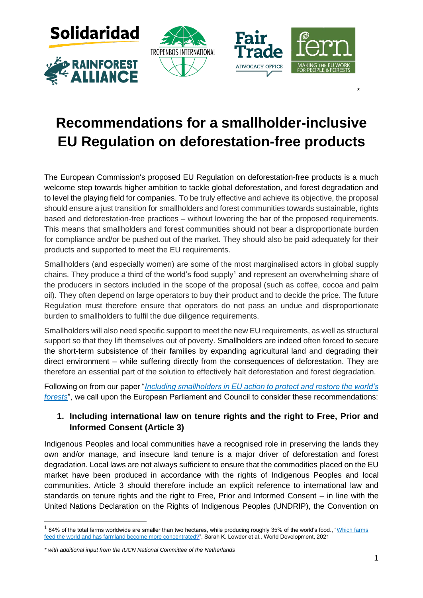







# **Recommendations for a smallholder-inclusive EU Regulation on deforestation-free products**

\*

The European Commission's proposed EU Regulation on deforestation-free products is a much welcome step towards higher ambition to tackle global deforestation, and forest degradation and to level the playing field for companies. To be truly effective and achieve its objective, the proposal should ensure a just transition for smallholders and forest communities towards sustainable, rights based and deforestation-free practices – without lowering the bar of the proposed requirements. This means that smallholders and forest communities should not bear a disproportionate burden for compliance and/or be pushed out of the market. They should also be paid adequately for their products and supported to meet the EU requirements.

Smallholders (and especially women) are some of the most marginalised actors in global supply chains. They produce a third of the world's food supply<sup>1</sup> and represent an overwhelming share of the producers in sectors included in the scope of the proposal (such as coffee, cocoa and palm oil). They often depend on large operators to buy their product and to decide the price. The future Regulation must therefore ensure that operators do not pass an undue and disproportionate burden to smallholders to fulfil the due diligence requirements.

Smallholders will also need specific support to meet the new EU requirements, as well as structural support so that they lift themselves out of poverty. Smallholders are indeed often forced to secure the short-term subsistence of their families by expanding agricultural land and degrading their direct environment – while suffering directly from the consequences of deforestation. They are therefore an essential part of the solution to effectively halt deforestation and forest degradation.

Following on from our paper "*[Including smallholders in EU action to protect and restore the world's](https://www.fern.org/fileadmin/uploads/fern/Documents/2021/Briefing-paper-Including-smallholders-EU-action-final.pdf)  [forests](https://www.fern.org/fileadmin/uploads/fern/Documents/2021/Briefing-paper-Including-smallholders-EU-action-final.pdf)*", we call upon the European Parliament and Council to consider these recommendations:

# **1. Including international law on tenure rights and the right to Free, Prior and Informed Consent (Article 3)**

Indigenous Peoples and local communities have a recognised role in preserving the lands they own and/or manage, and insecure land tenure is a major driver of deforestation and forest degradation. Local laws are not always sufficient to ensure that the commodities placed on the EU market have been produced in accordance with the rights of Indigenous Peoples and local communities. Article 3 should therefore include an explicit reference to international law and standards on tenure rights and the right to Free, Prior and Informed Consent – in line with the United Nations Declaration on the Rights of Indigenous Peoples (UNDRIP), the Convention on

 $^1$  84% of the total farms worldwide are smaller than two hectares, while producing roughly 35% of the world's food., "<u>Which farms</u> [feed the world and has farmland become more concentrated?"](https://www.sciencedirect.com/science/article/pii/S0305750X2100067X?via%3Dihub), Sarah K. Lowder et al., World Development, 2021

*<sup>\*</sup> with additional input from the IUCN National Committee of the Netherlands*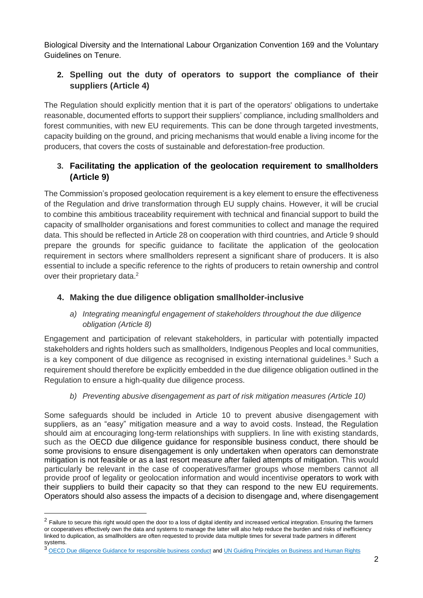Biological Diversity and the International Labour Organization Convention 169 and the Voluntary Guidelines on Tenure.

# **2. Spelling out the duty of operators to support the compliance of their suppliers (Article 4)**

The Regulation should explicitly mention that it is part of the operators' obligations to undertake reasonable, documented efforts to support their suppliers' compliance, including smallholders and forest communities, with new EU requirements. This can be done through targeted investments, capacity building on the ground, and pricing mechanisms that would enable a living income for the producers, that covers the costs of sustainable and deforestation-free production.

# **3. Facilitating the application of the geolocation requirement to smallholders (Article 9)**

The Commission's proposed geolocation requirement is a key element to ensure the effectiveness of the Regulation and drive transformation through EU supply chains. However, it will be crucial to combine this ambitious traceability requirement with technical and financial support to build the capacity of smallholder organisations and forest communities to collect and manage the required data. This should be reflected in Article 28 on cooperation with third countries, and Article 9 should prepare the grounds for specific guidance to facilitate the application of the geolocation requirement in sectors where smallholders represent a significant share of producers. It is also essential to include a specific reference to the rights of producers to retain ownership and control over their proprietary data.<sup>2</sup>

# **4. Making the due diligence obligation smallholder-inclusive**

#### *a) Integrating meaningful engagement of stakeholders throughout the due diligence obligation (Article 8)*

Engagement and participation of relevant stakeholders, in particular with potentially impacted stakeholders and rights holders such as smallholders, Indigenous Peoples and local communities, is a key component of due diligence as recognised in existing international guidelines.<sup>3</sup> Such a requirement should therefore be explicitly embedded in the due diligence obligation outlined in the Regulation to ensure a high-quality due diligence process.

### *b) Preventing abusive disengagement as part of risk mitigation measures (Article 10)*

Some safeguards should be included in Article 10 to prevent abusive disengagement with suppliers, as an "easy" mitigation measure and a way to avoid costs. Instead, the Regulation should aim at encouraging long-term relationships with suppliers. In line with existing standards, such as the OECD due diligence guidance for responsible business conduct, there should be some provisions to ensure disengagement is only undertaken when operators can demonstrate mitigation is not feasible or as a last resort measure after failed attempts of mitigation. This would particularly be relevant in the case of cooperatives/farmer groups whose members cannot all provide proof of legality or geolocation information and would incentivise operators to work with their suppliers to build their capacity so that they can respond to the new EU requirements. Operators should also assess the impacts of a decision to disengage and, where disengagement

 $^2$  Failure to secure this right would open the door to a loss of digital identity and increased vertical integration. Ensuring the farmers or cooperatives effectively own the data and systems to manage the latter will also help reduce the burden and risks of inefficiency linked to duplication, as smallholders are often requested to provide data multiple times for several trade partners in different systems.

<sup>&</sup>lt;sup>3</sup> [OECD Due diligence Guidance for responsible business conduct](http://mneguidelines.oecd.org/OECD-Due-Diligence-Guidance-for-Responsible-Business-Conduct.pdf) an[d UN Guiding Principles on Business and Human Rights](https://www.ohchr.org/documents/publications/guidingprinciplesbusinesshr_en.pdf)